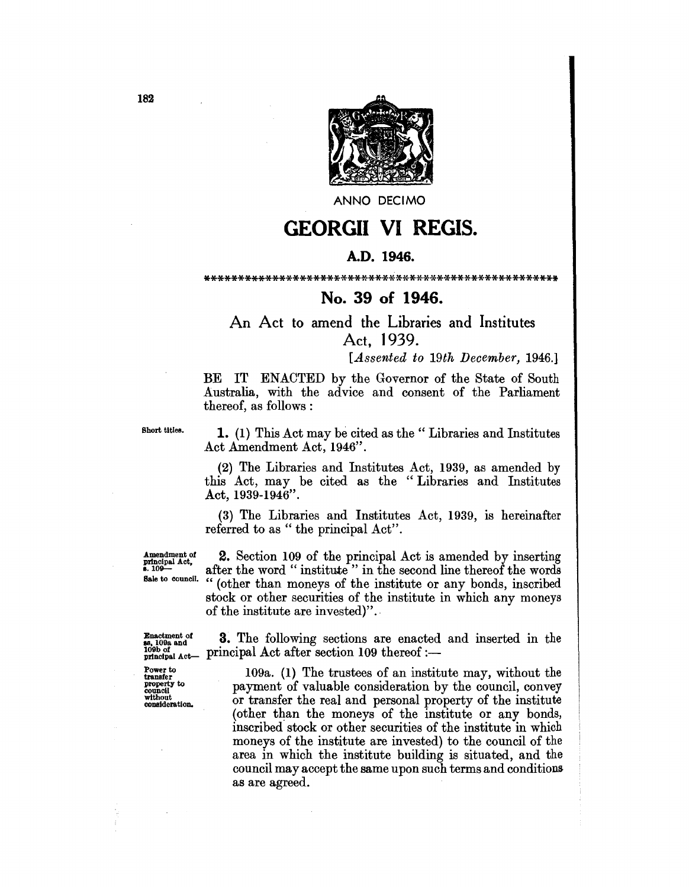

**ANNO DECIMO** 

## **GEORGII VI REGIS.**

## A.D. 1946.

## \*\*\*\*\*\*\*\*\*\*\*\*\*\*\*\*\*\*\*\*\*\*\*\*\*\*\*\*\*\*\*\*\*\*\*\*\*\*\*\*\*\*\*\*\*\*\*\*\*\*\*\*

## No. 39 of 1946.

An Act to amend the Libraries and Institutes Act. 1939.

[*Assented to 19th December, 1946.*]

BE IT ENACTED by the Governor of the State of South Australia, with the advice and consent of the Parliament thereof, as follows:

Short titles.

1. (1) This Act may be cited as the "Libraries and Institutes Act Amendment Act, 1946".

(2) The Libraries and Institutes Act, 1939, as amended by this Act, may be cited as the "Libraries and Institutes Act, 1939-1946".

(3) The Libraries and Institutes Act, 1939, is hereinafter referred to as " the principal Act".

Amendment of **principal Act**,<br>**8.** 109-Sale to council.

2. Section 109 of the principal Act is amended by inserting after the word " institute " in the second line thereof the words " (other than moneys of the institute or any bonds, inscribed stock or other securities of the institute in which any moneys of the institute are invested)".

Enactment *ot*  **ss**, 109a and 109b of principal Act-Power to transfer property to council

without consideration.

3. The following sections are enacted and inserted in the principal Act after section 109 thereof :-

109a. (1) The trustees of an institute may, without the payment of valuable consideration by the council, convey or transfer the real and personal property of the institute (other than the moneys of the institute or any bonds, inscribed stock or other securities of the institute in which moneys of the institute are invested) to the council of the area in which the institute building is situated, and the council may accept the same upon such terms and conditions as are agreed.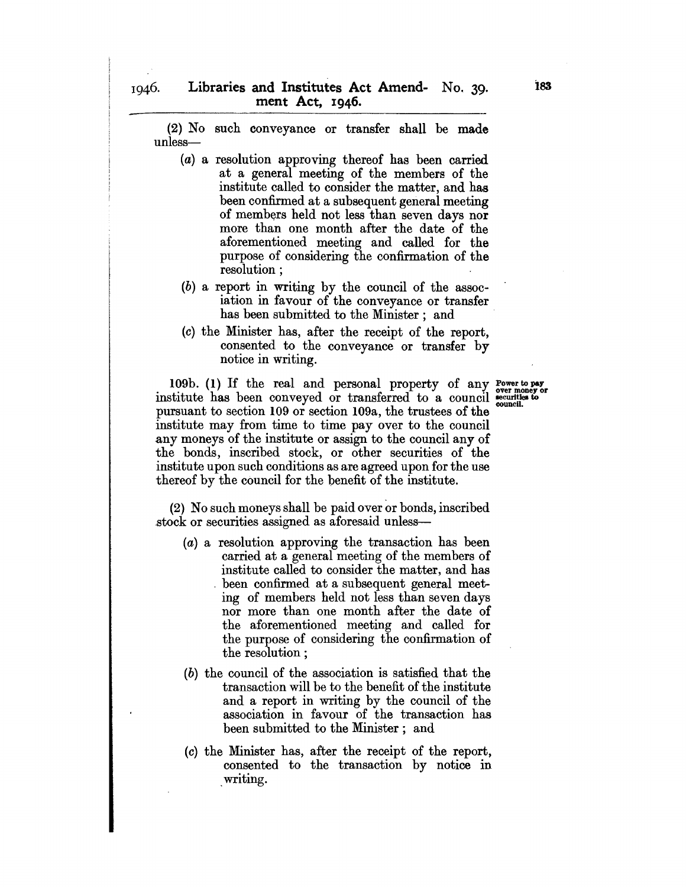(2) No such conveyance or transfer shall be made unless-

- (a) a resolution approving thereof has been carried at a general meeting of the members of the institute called to consider the matter, and has been confirmed at a subsequent general meeting of members held not less than seven days nor more than one month after the date of the aforementioned meeting and called for the purpose of considering the confirmation of the resolution ;
- (b) a report in writing by the council of the association in favour of the conveyance or transfer has been submitted to the Minister; and
- (c) the Minister has, after the receipt of the report, consented to the conveyance or transfer by notice in writing.

109b. (1) If the real and personal property of any Power to pay institute has been conveyed or transferred to a council  $\frac{1}{\text{count of}}$  outlies to pursuant to section 109 or section 109a, the trustees of the institute may from time to time pay over to the council any moneys of the institute or assign to the council any of the bonds, inscribed stock, or other securities of the institute upon such conditions as are agreed upon for the use thereof by the council for the benefit of the institute.

(2) No such moneys shall be paid over or bonds, inscribed stock or securities assigned as aforesaid unless-

- (a) a resolution approving the transaction has been carried at a general meeting of the members of institute called to consider the matter, and has . been confirmed at a subsequent general meeting of members held not less than seven days nor more than one month after the date of the aforementioned meeting and called for the purpose of considering the confirmation of the resolution;
- (b) the council of the association is satisfied that the transaction will be to the benefit of the institute and a report in writing by the council of the association in favour of the transaction has been submitted to the Minister; and
- (c) the Minister has, after the receipt of the report, consented to the transaction by notice in writing.